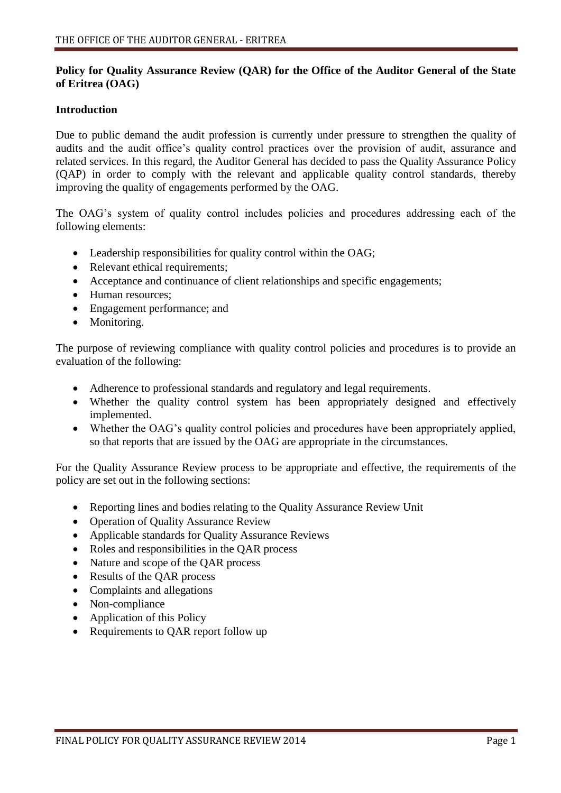## **Policy for Quality Assurance Review (QAR) for the Office of the Auditor General of the State of Eritrea (OAG)**

### **Introduction**

Due to public demand the audit profession is currently under pressure to strengthen the quality of audits and the audit office's quality control practices over the provision of audit, assurance and related services. In this regard, the Auditor General has decided to pass the Quality Assurance Policy (QAP) in order to comply with the relevant and applicable quality control standards, thereby improving the quality of engagements performed by the OAG.

The OAG's system of quality control includes policies and procedures addressing each of the following elements:

- Leadership responsibilities for quality control within the OAG;
- Relevant ethical requirements;
- Acceptance and continuance of client relationships and specific engagements;
- Human resources;
- Engagement performance; and
- Monitoring.

The purpose of reviewing compliance with quality control policies and procedures is to provide an evaluation of the following:

- Adherence to professional standards and regulatory and legal requirements.
- Whether the quality control system has been appropriately designed and effectively implemented.
- Whether the OAG's quality control policies and procedures have been appropriately applied, so that reports that are issued by the OAG are appropriate in the circumstances.

For the Quality Assurance Review process to be appropriate and effective, the requirements of the policy are set out in the following sections:

- Reporting lines and bodies relating to the Quality Assurance Review Unit
- Operation of Quality Assurance Review
- Applicable standards for Quality Assurance Reviews
- Roles and responsibilities in the QAR process
- Nature and scope of the QAR process
- Results of the QAR process
- Complaints and allegations
- Non-compliance
- Application of this Policy
- Requirements to QAR report follow up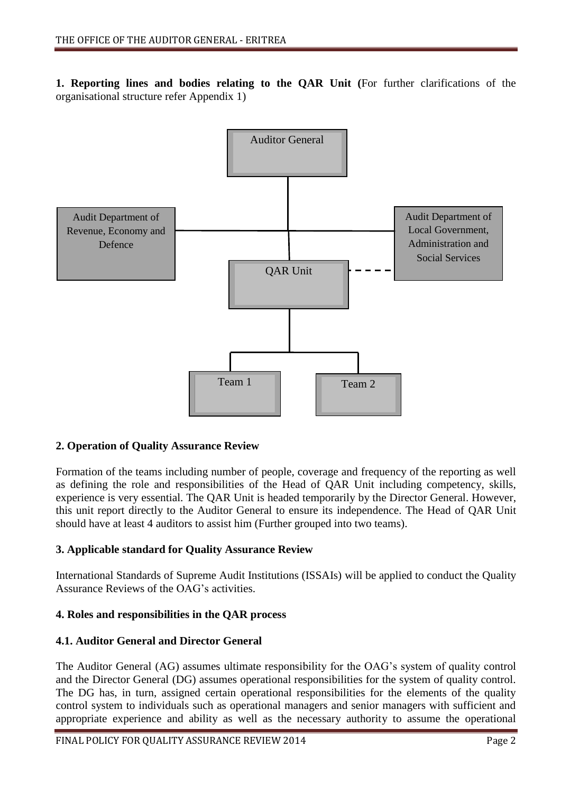**1. Reporting lines and bodies relating to the QAR Unit (**For further clarifications of the organisational structure refer Appendix 1)



## **2. Operation of Quality Assurance Review**

Formation of the teams including number of people, coverage and frequency of the reporting as well as defining the role and responsibilities of the Head of QAR Unit including competency, skills, experience is very essential. The QAR Unit is headed temporarily by the Director General. However, this unit report directly to the Auditor General to ensure its independence. The Head of QAR Unit should have at least 4 auditors to assist him (Further grouped into two teams).

## **3. Applicable standard for Quality Assurance Review**

International Standards of Supreme Audit Institutions (ISSAIs) will be applied to conduct the Quality Assurance Reviews of the OAG's activities.

## **4. Roles and responsibilities in the QAR process**

## **4.1. Auditor General and Director General**

The Auditor General (AG) assumes ultimate responsibility for the OAG's system of quality control and the Director General (DG) assumes operational responsibilities for the system of quality control. The DG has, in turn, assigned certain operational responsibilities for the elements of the quality control system to individuals such as operational managers and senior managers with sufficient and appropriate experience and ability as well as the necessary authority to assume the operational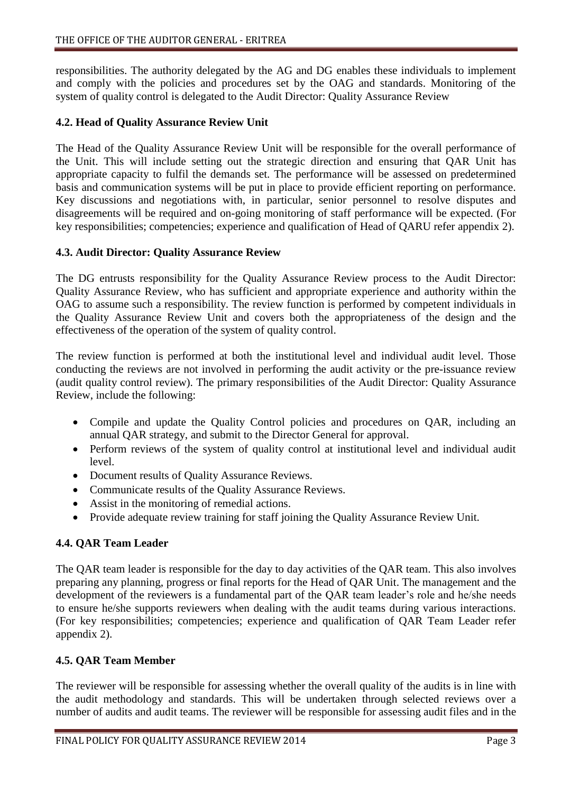responsibilities. The authority delegated by the AG and DG enables these individuals to implement and comply with the policies and procedures set by the OAG and standards. Monitoring of the system of quality control is delegated to the Audit Director: Quality Assurance Review

### **4.2. Head of Quality Assurance Review Unit**

The Head of the Quality Assurance Review Unit will be responsible for the overall performance of the Unit. This will include setting out the strategic direction and ensuring that QAR Unit has appropriate capacity to fulfil the demands set. The performance will be assessed on predetermined basis and communication systems will be put in place to provide efficient reporting on performance. Key discussions and negotiations with, in particular, senior personnel to resolve disputes and disagreements will be required and on-going monitoring of staff performance will be expected. (For key responsibilities; competencies; experience and qualification of Head of QARU refer appendix 2).

### **4.3. Audit Director: Quality Assurance Review**

The DG entrusts responsibility for the Quality Assurance Review process to the Audit Director: Quality Assurance Review, who has sufficient and appropriate experience and authority within the OAG to assume such a responsibility. The review function is performed by competent individuals in the Quality Assurance Review Unit and covers both the appropriateness of the design and the effectiveness of the operation of the system of quality control.

The review function is performed at both the institutional level and individual audit level. Those conducting the reviews are not involved in performing the audit activity or the pre-issuance review (audit quality control review). The primary responsibilities of the Audit Director: Quality Assurance Review, include the following:

- Compile and update the Quality Control policies and procedures on QAR, including an annual QAR strategy, and submit to the Director General for approval.
- Perform reviews of the system of quality control at institutional level and individual audit level.
- Document results of Quality Assurance Reviews.
- Communicate results of the Quality Assurance Reviews.
- Assist in the monitoring of remedial actions.
- Provide adequate review training for staff joining the Quality Assurance Review Unit.

## **4.4. QAR Team Leader**

The QAR team leader is responsible for the day to day activities of the QAR team. This also involves preparing any planning, progress or final reports for the Head of QAR Unit. The management and the development of the reviewers is a fundamental part of the QAR team leader's role and he/she needs to ensure he/she supports reviewers when dealing with the audit teams during various interactions. (For key responsibilities; competencies; experience and qualification of QAR Team Leader refer appendix 2).

## **4.5. QAR Team Member**

The reviewer will be responsible for assessing whether the overall quality of the audits is in line with the audit methodology and standards. This will be undertaken through selected reviews over a number of audits and audit teams. The reviewer will be responsible for assessing audit files and in the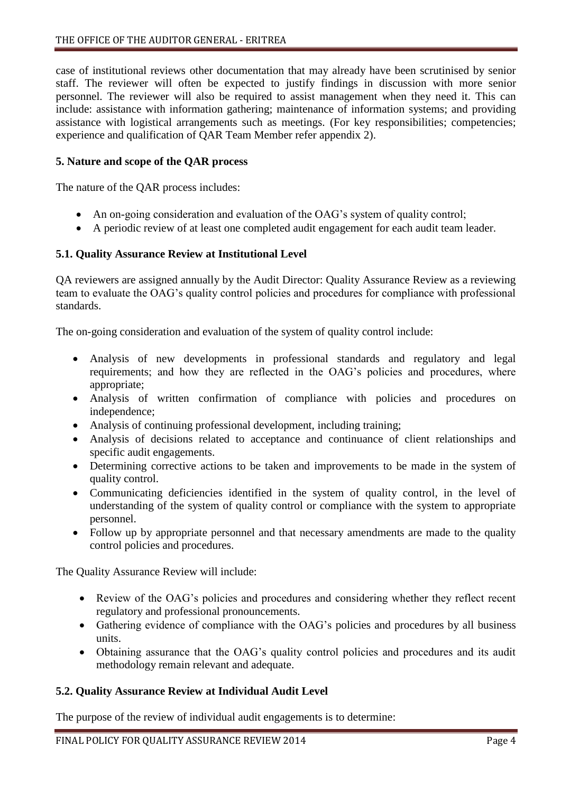case of institutional reviews other documentation that may already have been scrutinised by senior staff. The reviewer will often be expected to justify findings in discussion with more senior personnel. The reviewer will also be required to assist management when they need it. This can include: assistance with information gathering; maintenance of information systems; and providing assistance with logistical arrangements such as meetings. (For key responsibilities; competencies; experience and qualification of QAR Team Member refer appendix 2).

### **5. Nature and scope of the QAR process**

The nature of the QAR process includes:

- An on-going consideration and evaluation of the OAG's system of quality control;
- A periodic review of at least one completed audit engagement for each audit team leader.

### **5.1. Quality Assurance Review at Institutional Level**

QA reviewers are assigned annually by the Audit Director: Quality Assurance Review as a reviewing team to evaluate the OAG's quality control policies and procedures for compliance with professional standards.

The on-going consideration and evaluation of the system of quality control include:

- Analysis of new developments in professional standards and regulatory and legal requirements; and how they are reflected in the OAG's policies and procedures, where appropriate;
- Analysis of written confirmation of compliance with policies and procedures on independence;
- Analysis of continuing professional development, including training;
- Analysis of decisions related to acceptance and continuance of client relationships and specific audit engagements.
- Determining corrective actions to be taken and improvements to be made in the system of quality control.
- Communicating deficiencies identified in the system of quality control, in the level of understanding of the system of quality control or compliance with the system to appropriate personnel.
- Follow up by appropriate personnel and that necessary amendments are made to the quality control policies and procedures.

The Quality Assurance Review will include:

- Review of the OAG's policies and procedures and considering whether they reflect recent regulatory and professional pronouncements.
- Gathering evidence of compliance with the OAG's policies and procedures by all business units.
- Obtaining assurance that the OAG's quality control policies and procedures and its audit methodology remain relevant and adequate.

### **5.2. Quality Assurance Review at Individual Audit Level**

The purpose of the review of individual audit engagements is to determine: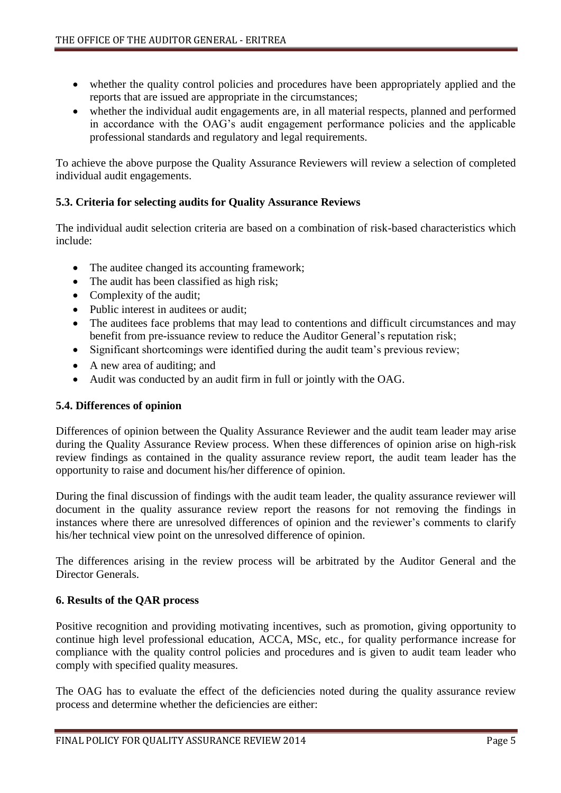- whether the quality control policies and procedures have been appropriately applied and the reports that are issued are appropriate in the circumstances;
- whether the individual audit engagements are, in all material respects, planned and performed in accordance with the OAG's audit engagement performance policies and the applicable professional standards and regulatory and legal requirements.

To achieve the above purpose the Quality Assurance Reviewers will review a selection of completed individual audit engagements.

# **5.3. Criteria for selecting audits for Quality Assurance Reviews**

The individual audit selection criteria are based on a combination of risk-based characteristics which include:

- The auditee changed its accounting framework;
- The audit has been classified as high risk;
- Complexity of the audit;
- Public interest in auditees or audit;
- The auditees face problems that may lead to contentions and difficult circumstances and may benefit from pre-issuance review to reduce the Auditor General's reputation risk;
- Significant shortcomings were identified during the audit team's previous review;
- A new area of auditing; and
- Audit was conducted by an audit firm in full or jointly with the OAG.

## **5.4. Differences of opinion**

Differences of opinion between the Quality Assurance Reviewer and the audit team leader may arise during the Quality Assurance Review process. When these differences of opinion arise on high-risk review findings as contained in the quality assurance review report, the audit team leader has the opportunity to raise and document his/her difference of opinion.

During the final discussion of findings with the audit team leader, the quality assurance reviewer will document in the quality assurance review report the reasons for not removing the findings in instances where there are unresolved differences of opinion and the reviewer's comments to clarify his/her technical view point on the unresolved difference of opinion.

The differences arising in the review process will be arbitrated by the Auditor General and the Director Generals.

## **6. Results of the QAR process**

Positive recognition and providing motivating incentives, such as promotion, giving opportunity to continue high level professional education, ACCA, MSc, etc., for quality performance increase for compliance with the quality control policies and procedures and is given to audit team leader who comply with specified quality measures.

The OAG has to evaluate the effect of the deficiencies noted during the quality assurance review process and determine whether the deficiencies are either: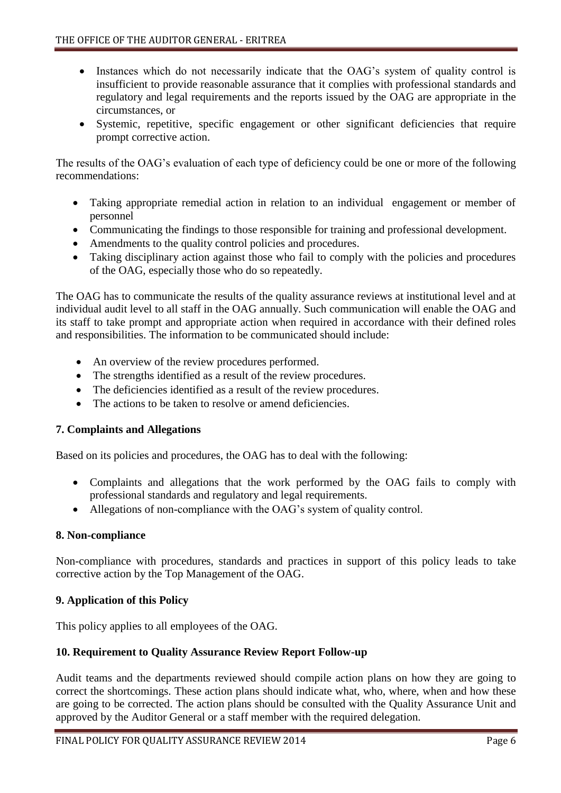- Instances which do not necessarily indicate that the OAG's system of quality control is insufficient to provide reasonable assurance that it complies with professional standards and regulatory and legal requirements and the reports issued by the OAG are appropriate in the circumstances, or
- Systemic, repetitive, specific engagement or other significant deficiencies that require prompt corrective action.

The results of the OAG's evaluation of each type of deficiency could be one or more of the following recommendations:

- Taking appropriate remedial action in relation to an individual engagement or member of personnel
- Communicating the findings to those responsible for training and professional development.
- Amendments to the quality control policies and procedures.
- Taking disciplinary action against those who fail to comply with the policies and procedures of the OAG, especially those who do so repeatedly.

The OAG has to communicate the results of the quality assurance reviews at institutional level and at individual audit level to all staff in the OAG annually. Such communication will enable the OAG and its staff to take prompt and appropriate action when required in accordance with their defined roles and responsibilities. The information to be communicated should include:

- An overview of the review procedures performed.
- The strengths identified as a result of the review procedures.
- The deficiencies identified as a result of the review procedures.
- The actions to be taken to resolve or amend deficiencies.

## **7. Complaints and Allegations**

Based on its policies and procedures, the OAG has to deal with the following:

- Complaints and allegations that the work performed by the OAG fails to comply with professional standards and regulatory and legal requirements.
- Allegations of non-compliance with the OAG's system of quality control.

## **8. Non-compliance**

Non-compliance with procedures, standards and practices in support of this policy leads to take corrective action by the Top Management of the OAG.

## **9. Application of this Policy**

This policy applies to all employees of the OAG.

### **10. Requirement to Quality Assurance Review Report Follow-up**

Audit teams and the departments reviewed should compile action plans on how they are going to correct the shortcomings. These action plans should indicate what, who, where, when and how these are going to be corrected. The action plans should be consulted with the Quality Assurance Unit and approved by the Auditor General or a staff member with the required delegation.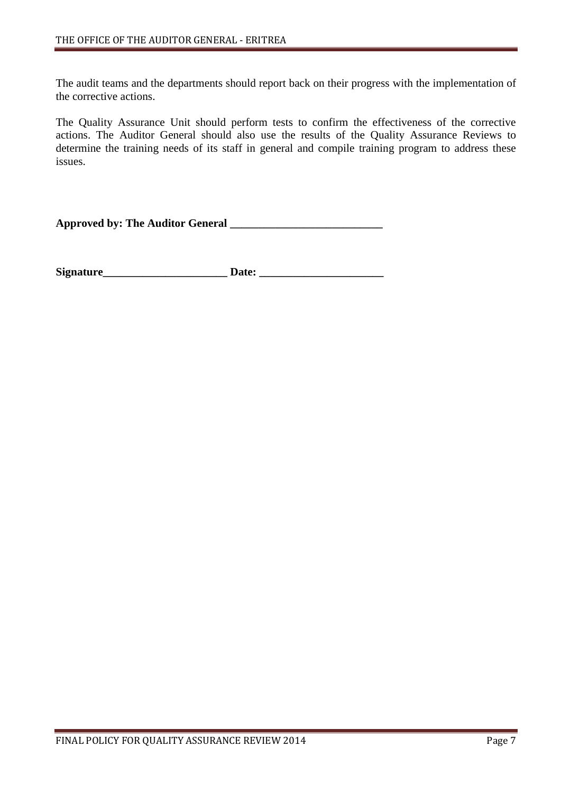The audit teams and the departments should report back on their progress with the implementation of the corrective actions.

The Quality Assurance Unit should perform tests to confirm the effectiveness of the corrective actions. The Auditor General should also use the results of the Quality Assurance Reviews to determine the training needs of its staff in general and compile training program to address these issues.

**Approved by: The Auditor General \_\_\_\_\_\_\_\_\_\_\_\_\_\_\_\_\_\_\_\_\_\_\_\_\_\_\_**

**Signature\_\_\_\_\_\_\_\_\_\_\_\_\_\_\_\_\_\_\_\_\_\_ Date: \_\_\_\_\_\_\_\_\_\_\_\_\_\_\_\_\_\_\_\_\_\_**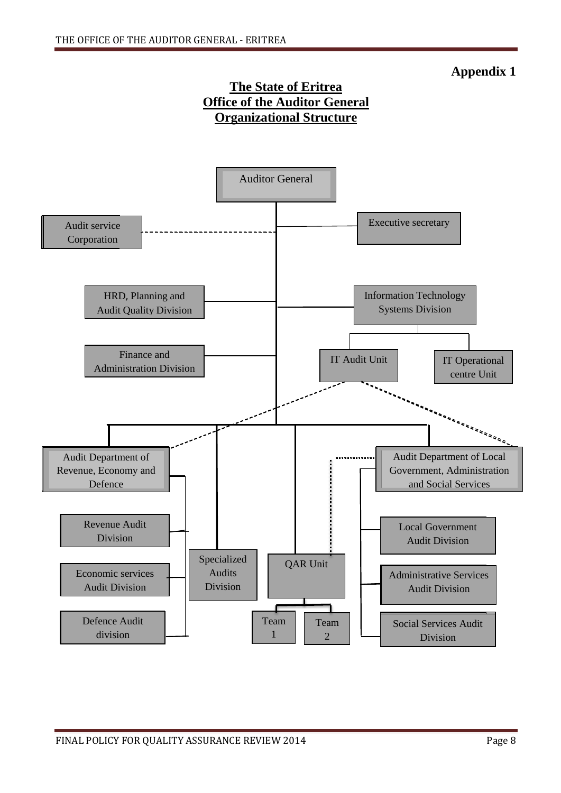# **Appendix 1**

# **The State of Eritrea Office of the Auditor General Organizational Structure**

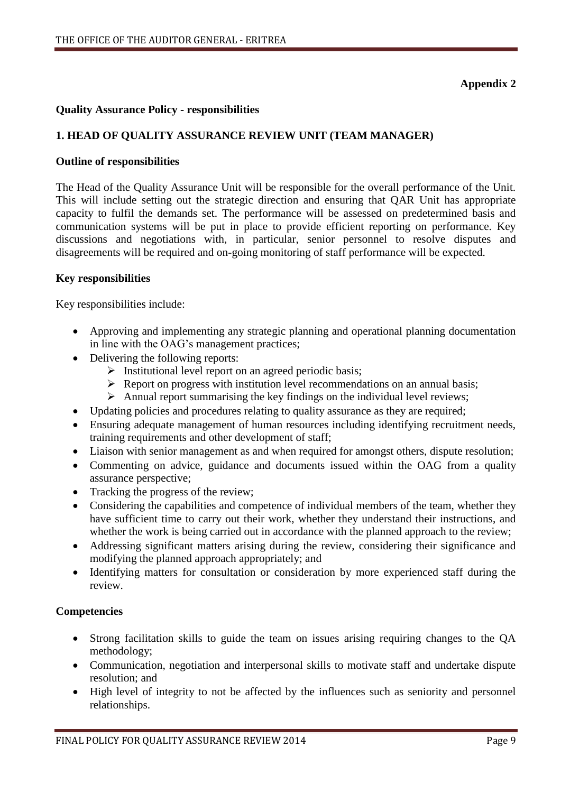## **Appendix 2**

### **Quality Assurance Policy - responsibilities**

## **1. HEAD OF QUALITY ASSURANCE REVIEW UNIT (TEAM MANAGER)**

### **Outline of responsibilities**

The Head of the Quality Assurance Unit will be responsible for the overall performance of the Unit. This will include setting out the strategic direction and ensuring that QAR Unit has appropriate capacity to fulfil the demands set. The performance will be assessed on predetermined basis and communication systems will be put in place to provide efficient reporting on performance. Key discussions and negotiations with, in particular, senior personnel to resolve disputes and disagreements will be required and on-going monitoring of staff performance will be expected.

### **Key responsibilities**

Key responsibilities include:

- Approving and implementing any strategic planning and operational planning documentation in line with the OAG's management practices;
- Delivering the following reports:
	- $\triangleright$  Institutional level report on an agreed periodic basis;
	- $\triangleright$  Report on progress with institution level recommendations on an annual basis;
	- $\triangleright$  Annual report summarising the key findings on the individual level reviews;
- Updating policies and procedures relating to quality assurance as they are required;
- Ensuring adequate management of human resources including identifying recruitment needs, training requirements and other development of staff;
- Liaison with senior management as and when required for amongst others, dispute resolution;
- Commenting on advice, guidance and documents issued within the OAG from a quality assurance perspective;
- Tracking the progress of the review;
- Considering the capabilities and competence of individual members of the team, whether they have sufficient time to carry out their work, whether they understand their instructions, and whether the work is being carried out in accordance with the planned approach to the review;
- Addressing significant matters arising during the review, considering their significance and modifying the planned approach appropriately; and
- Identifying matters for consultation or consideration by more experienced staff during the review.

### **Competencies**

- Strong facilitation skills to guide the team on issues arising requiring changes to the QA methodology;
- Communication, negotiation and interpersonal skills to motivate staff and undertake dispute resolution; and
- High level of integrity to not be affected by the influences such as seniority and personnel relationships.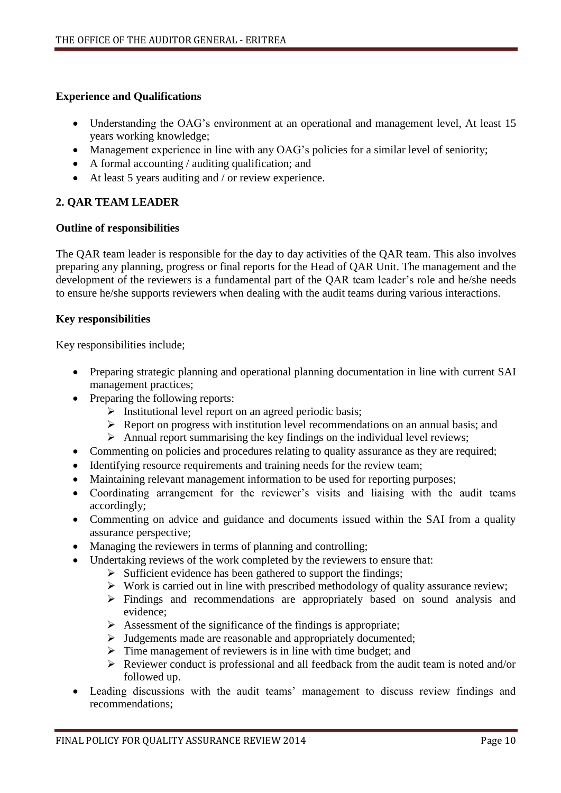## **Experience and Qualifications**

- Understanding the OAG's environment at an operational and management level, At least 15 years working knowledge;
- Management experience in line with any OAG's policies for a similar level of seniority;
- A formal accounting / auditing qualification; and
- At least 5 years auditing and / or review experience.

# **2. QAR TEAM LEADER**

### **Outline of responsibilities**

The QAR team leader is responsible for the day to day activities of the QAR team. This also involves preparing any planning, progress or final reports for the Head of QAR Unit. The management and the development of the reviewers is a fundamental part of the QAR team leader's role and he/she needs to ensure he/she supports reviewers when dealing with the audit teams during various interactions.

## **Key responsibilities**

Key responsibilities include;

- Preparing strategic planning and operational planning documentation in line with current SAI management practices;
- Preparing the following reports:
	- $\triangleright$  Institutional level report on an agreed periodic basis;
	- $\triangleright$  Report on progress with institution level recommendations on an annual basis; and
	- $\triangleright$  Annual report summarising the key findings on the individual level reviews;
- Commenting on policies and procedures relating to quality assurance as they are required;
- Identifying resource requirements and training needs for the review team;
- Maintaining relevant management information to be used for reporting purposes;
- Coordinating arrangement for the reviewer's visits and liaising with the audit teams accordingly;
- Commenting on advice and guidance and documents issued within the SAI from a quality assurance perspective;
- Managing the reviewers in terms of planning and controlling;
- Undertaking reviews of the work completed by the reviewers to ensure that:
	- $\triangleright$  Sufficient evidence has been gathered to support the findings;
	- $\triangleright$  Work is carried out in line with prescribed methodology of quality assurance review;
	- Findings and recommendations are appropriately based on sound analysis and evidence;
	- $\triangleright$  Assessment of the significance of the findings is appropriate;
	- > Judgements made are reasonable and appropriately documented;
	- $\triangleright$  Time management of reviewers is in line with time budget; and
	- $\triangleright$  Reviewer conduct is professional and all feedback from the audit team is noted and/or followed up.
- Leading discussions with the audit teams' management to discuss review findings and recommendations;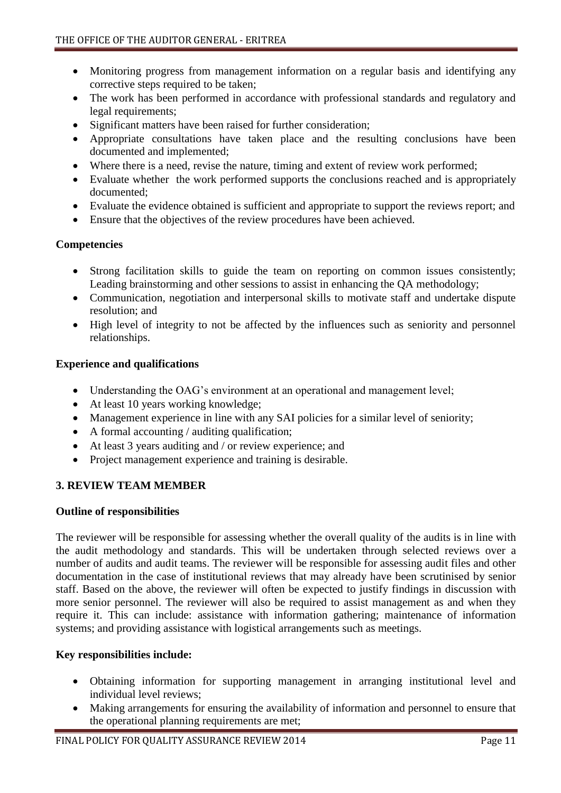- Monitoring progress from management information on a regular basis and identifying any corrective steps required to be taken;
- The work has been performed in accordance with professional standards and regulatory and legal requirements;
- Significant matters have been raised for further consideration;
- Appropriate consultations have taken place and the resulting conclusions have been documented and implemented;
- Where there is a need, revise the nature, timing and extent of review work performed;
- Evaluate whether the work performed supports the conclusions reached and is appropriately documented;
- Evaluate the evidence obtained is sufficient and appropriate to support the reviews report; and
- Ensure that the objectives of the review procedures have been achieved.

## **Competencies**

- Strong facilitation skills to guide the team on reporting on common issues consistently; Leading brainstorming and other sessions to assist in enhancing the QA methodology;
- Communication, negotiation and interpersonal skills to motivate staff and undertake dispute resolution; and
- High level of integrity to not be affected by the influences such as seniority and personnel relationships.

### **Experience and qualifications**

- Understanding the OAG's environment at an operational and management level;
- At least 10 years working knowledge;
- Management experience in line with any SAI policies for a similar level of seniority;
- $\bullet$  A formal accounting / auditing qualification;
- At least 3 years auditing and / or review experience; and
- Project management experience and training is desirable.

## **3. REVIEW TEAM MEMBER**

## **Outline of responsibilities**

The reviewer will be responsible for assessing whether the overall quality of the audits is in line with the audit methodology and standards. This will be undertaken through selected reviews over a number of audits and audit teams. The reviewer will be responsible for assessing audit files and other documentation in the case of institutional reviews that may already have been scrutinised by senior staff. Based on the above, the reviewer will often be expected to justify findings in discussion with more senior personnel. The reviewer will also be required to assist management as and when they require it. This can include: assistance with information gathering; maintenance of information systems; and providing assistance with logistical arrangements such as meetings.

## **Key responsibilities include:**

- Obtaining information for supporting management in arranging institutional level and individual level reviews;
- Making arrangements for ensuring the availability of information and personnel to ensure that the operational planning requirements are met;